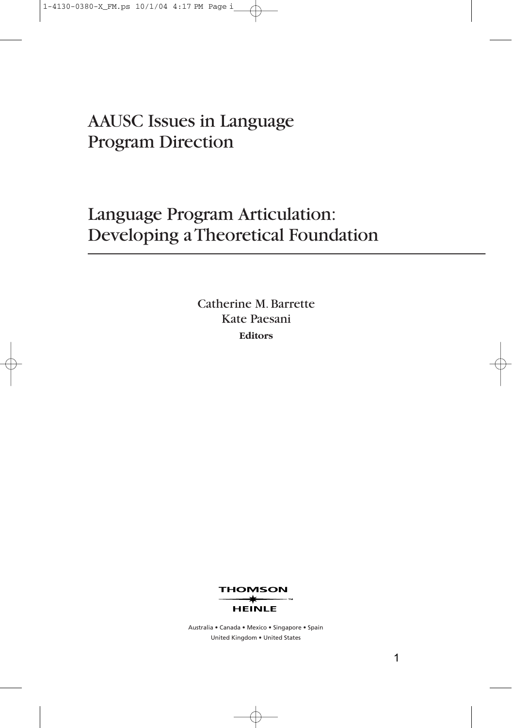# AAUSC Issues in Language Program Direction

# Language Program Articulation: Developing a Theoretical Foundation

Catherine M. Barrette Kate Paesani **Editors**



Australia • Canada • Mexico • Singapore • Spain United Kingdom • United States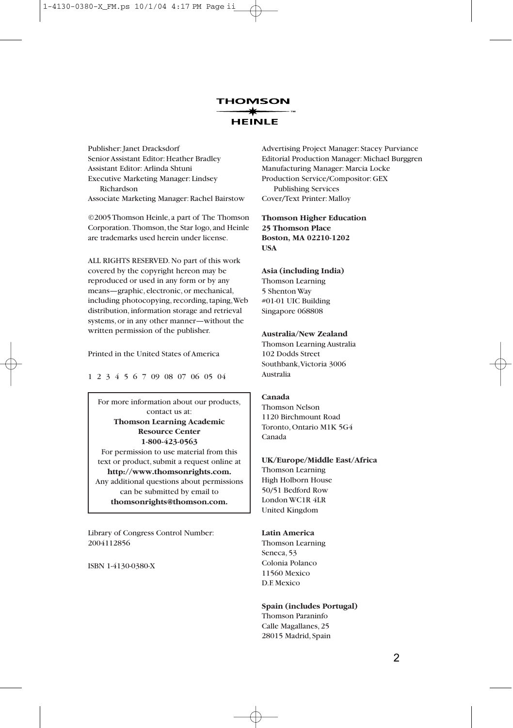#### **THOMSON** ∗ **HEINLE**

Publisher: Janet Dracksdorf Senior Assistant Editor: Heather Bradley Assistant Editor: Arlinda Shtuni Executive Marketing Manager: Lindsey Richardson Associate Marketing Manager: Rachel Bairstow

©2005 Thomson Heinle, a part of The Thomson Corporation. Thomson, the Star logo, and Heinle are trademarks used herein under license.

ALL RIGHTS RESERVED. No part of this work covered by the copyright hereon may be reproduced or used in any form or by any means—graphic, electronic, or mechanical, including photocopying, recording, taping,Web distribution, information storage and retrieval systems, or in any other manner—without the written permission of the publisher.

Printed in the United States of America

1 2 3 4 5 6 7 09 08 07 06 05 04

For more information about our products, contact us at: **Thomson Learning Academic Resource Center 1-800-423-0563** For permission to use material from this text or product, submit a request online at **http://www.thomsonrights.com.** Any additional questions about permissions can be submitted by email to **thomsonrights@thomson.com.**

Library of Congress Control Number: 2004112856

ISBN 1-4130-0380-X

Advertising Project Manager: Stacey Purviance Editorial Production Manager: Michael Burggren Manufacturing Manager: Marcia Locke Production Service/Compositor: GEX Publishing Services Cover/Text Printer: Malloy

**Thomson Higher Education 25 Thomson Place Boston, MA 02210-1202 USA**

**Asia (including India)**

Thomson Learning 5 Shenton Way #01-01 UIC Building Singapore 068808

#### **Australia/New Zealand**

Thomson Learning Australia 102 Dodds Street Southbank,Victoria 3006 Australia

#### **Canada**

Thomson Nelson 1120 Birchmount Road Toronto, Ontario M1K 5G4 Canada

#### **UK/Europe/Middle East/Africa**

Thomson Learning High Holborn House 50/51 Bedford Row London WC1R 4LR United Kingdom

#### **Latin America**

Thomson Learning Seneca, 53 Colonia Polanco 11560 Mexico D.F. Mexico

#### **Spain (includes Portugal)**

Thomson Paraninfo Calle Magallanes, 25 28015 Madrid, Spain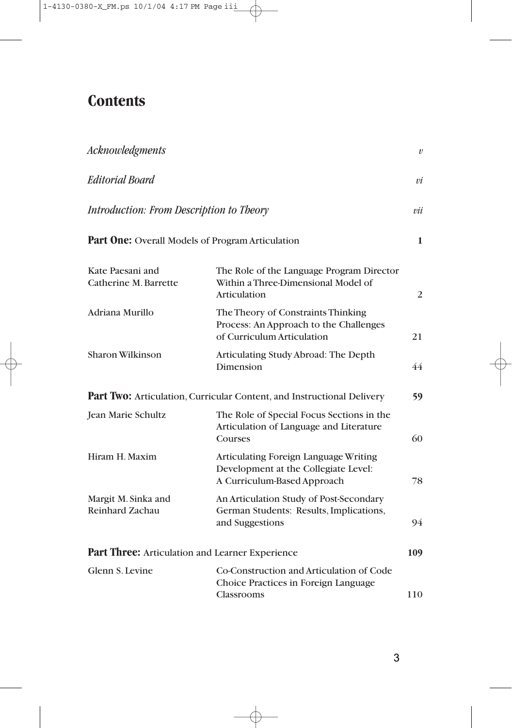## **Contents**

|                                                                                                              | $\mathbf{v}$   |
|--------------------------------------------------------------------------------------------------------------|----------------|
|                                                                                                              | vi             |
| Introduction: From Description to Theory                                                                     | vii            |
| Part One: Overall Models of Program Articulation                                                             | 1              |
| The Role of the Language Program Director<br>Within a Three-Dimensional Model of<br>Articulation             | $\overline{2}$ |
| The Theory of Constraints Thinking<br>Process: An Approach to the Challenges<br>of Curriculum Articulation   | 21             |
| Articulating Study Abroad: The Depth<br>Dimension                                                            | 44             |
| Part Two: Articulation, Curricular Content, and Instructional Delivery                                       | 59             |
| The Role of Special Focus Sections in the<br>Articulation of Language and Literature<br>Courses              | 60             |
| Articulating Foreign Language Writing<br>Development at the Collegiate Level:<br>A Curriculum-Based Approach | 78             |
| An Articulation Study of Post-Secondary<br>German Students: Results, Implications,<br>and Suggestions        | 94             |
| Part Three: Articulation and Learner Experience                                                              | 109            |
| Co-Construction and Articulation of Code<br>Choice Practices in Foreign Language                             | 110            |
|                                                                                                              | Classrooms     |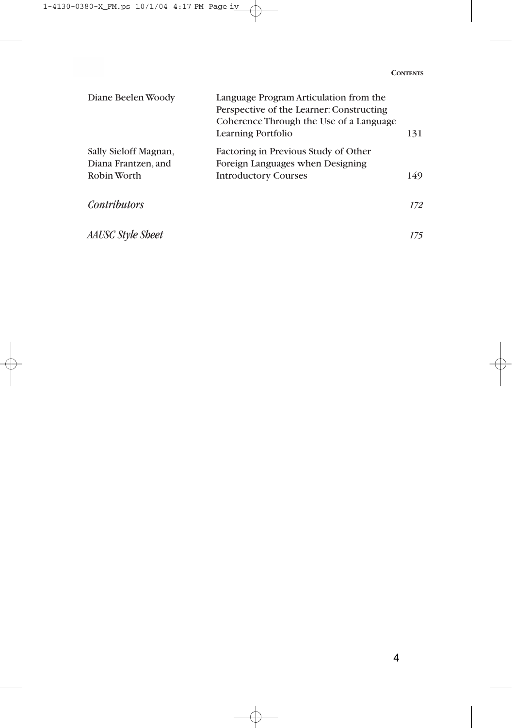| Diane Beelen Woody                                          | Language Program Articulation from the<br>Perspective of the Learner: Constructing<br>Coherence Through the Use of a Language<br>Learning Portfolio | 131 |
|-------------------------------------------------------------|-----------------------------------------------------------------------------------------------------------------------------------------------------|-----|
| Sally Sieloff Magnan,<br>Diana Frantzen, and<br>Robin Worth | Factoring in Previous Study of Other<br>Foreign Languages when Designing<br><b>Introductory Courses</b>                                             | 149 |
| <i>Contributors</i>                                         |                                                                                                                                                     | 172 |
| <b>AAUSC Style Sheet</b>                                    |                                                                                                                                                     | 175 |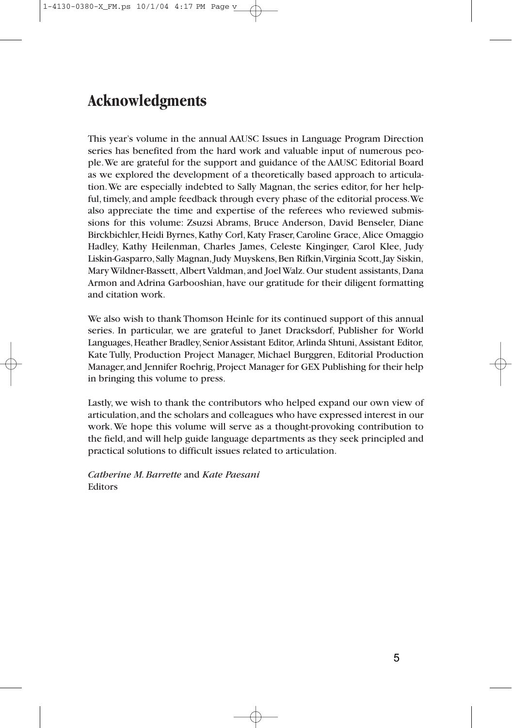### **Acknowledgments**

This year's volume in the annual AAUSC Issues in Language Program Direction series has benefited from the hard work and valuable input of numerous people.We are grateful for the support and guidance of the AAUSC Editorial Board as we explored the development of a theoretically based approach to articulation.We are especially indebted to Sally Magnan, the series editor, for her helpful, timely, and ample feedback through every phase of the editorial process.We also appreciate the time and expertise of the referees who reviewed submissions for this volume: Zsuzsi Abrams, Bruce Anderson, David Benseler, Diane Birckbichler, Heidi Byrnes, Kathy Corl, Katy Fraser, Caroline Grace, Alice Omaggio Hadley, Kathy Heilenman, Charles James, Celeste Kinginger, Carol Klee, Judy Liskin-Gasparro,Sally Magnan,Judy Muyskens,Ben Rifkin,Virginia Scott,Jay Siskin, Mary Wildner-Bassett, Albert Valdman,and Joel Walz.Our student assistants,Dana Armon and Adrina Garbooshian, have our gratitude for their diligent formatting and citation work.

We also wish to thank Thomson Heinle for its continued support of this annual series. In particular, we are grateful to Janet Dracksdorf, Publisher for World Languages,Heather Bradley,Senior Assistant Editor, Arlinda Shtuni, Assistant Editor, Kate Tully, Production Project Manager, Michael Burggren, Editorial Production Manager, and Jennifer Roehrig, Project Manager for GEX Publishing for their help in bringing this volume to press.

Lastly, we wish to thank the contributors who helped expand our own view of articulation,and the scholars and colleagues who have expressed interest in our work.We hope this volume will serve as a thought-provoking contribution to the field, and will help guide language departments as they seek principled and practical solutions to difficult issues related to articulation.

*Catherine M.Barrette* and *Kate Paesani* **Editors**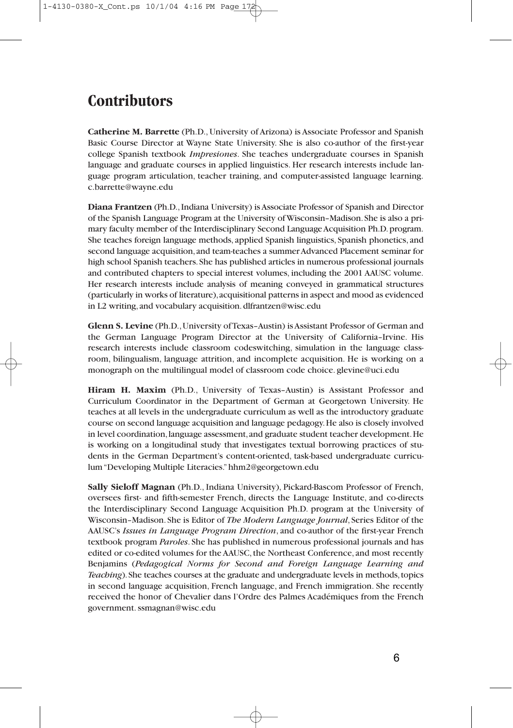### **Contributors**

**Catherine M. Barrette** (Ph.D., University of Arizona) is Associate Professor and Spanish Basic Course Director at Wayne State University. She is also co-author of the first-year college Spanish textbook *Impresiones*. She teaches undergraduate courses in Spanish language and graduate courses in applied linguistics. Her research interests include language program articulation, teacher training, and computer-assisted language learning. c.barrette@wayne.edu

**Diana Frantzen** (Ph.D.,Indiana University) is Associate Professor of Spanish and Director of the Spanish Language Program at the University of Wisconsin–Madison.She is also a primary faculty member of the Interdisciplinary Second Language Acquisition Ph.D.program. She teaches foreign language methods, applied Spanish linguistics, Spanish phonetics, and second language acquisition,and team-teaches a summer Advanced Placement seminar for high school Spanish teachers.She has published articles in numerous professional journals and contributed chapters to special interest volumes, including the 2001 AAUSC volume. Her research interests include analysis of meaning conveyed in grammatical structures (particularly in works of literature),acquisitional patterns in aspect and mood as evidenced in L2 writing,and vocabulary acquisition.dlfrantzen@wisc.edu

**Glenn S. Levine** (Ph.D.,University of Texas–Austin) is Assistant Professor of German and the German Language Program Director at the University of California–Irvine. His research interests include classroom codeswitching, simulation in the language classroom, bilingualism, language attrition, and incomplete acquisition. He is working on a monograph on the multilingual model of classroom code choice. glevine@uci.edu

**Hiram H. Maxim** (Ph.D., University of Texas–Austin) is Assistant Professor and Curriculum Coordinator in the Department of German at Georgetown University. He teaches at all levels in the undergraduate curriculum as well as the introductory graduate course on second language acquisition and language pedagogy.He also is closely involved in level coordination,language assessment,and graduate student teacher development.He is working on a longitudinal study that investigates textual borrowing practices of students in the German Department's content-oriented, task-based undergraduate curriculum "Developing Multiple Literacies."hhm2@georgetown.edu

**Sally Sieloff Magnan** (Ph.D., Indiana University), Pickard-Bascom Professor of French, oversees first- and fifth-semester French, directs the Language Institute, and co-directs the Interdisciplinary Second Language Acquisition Ph.D. program at the University of Wisconsin–Madison.She is Editor of *The Modern Language Journal*, Series Editor of the AAUSC's *Issues in Language Program Direction*, and co-author of the first-year French textbook program *Paroles*. She has published in numerous professional journals and has edited or co-edited volumes for the AAUSC, the Northeast Conference, and most recently Benjamins (*Pedagogical Norms for Second and Foreign Language Learning and Teaching*). She teaches courses at the graduate and undergraduate levels in methods, topics in second language acquisition, French language, and French immigration. She recently received the honor of Chevalier dans l'Ordre des Palmes Académiques from the French government. ssmagnan@wisc.edu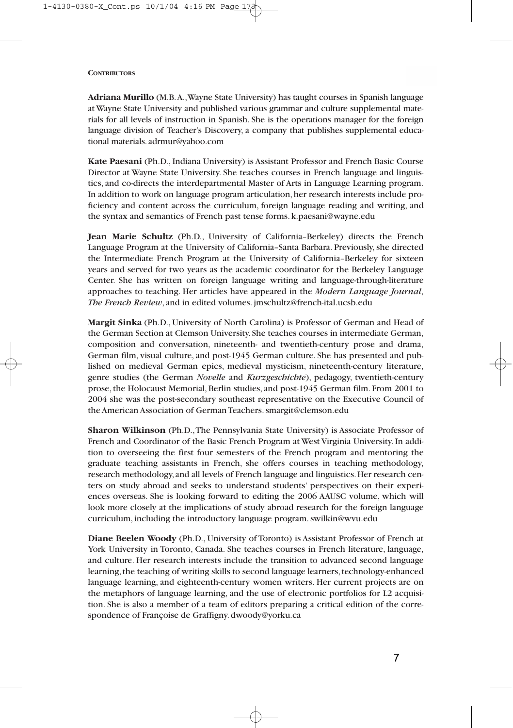#### **CONTRIBUTORS**

**Adriana Murillo** (M.B.A.,Wayne State University) has taught courses in Spanish language at Wayne State University and published various grammar and culture supplemental materials for all levels of instruction in Spanish. She is the operations manager for the foreign language division of Teacher's Discovery, a company that publishes supplemental educational materials.adrmur@yahoo.com

**Kate Paesani** (Ph.D., Indiana University) is Assistant Professor and French Basic Course Director at Wayne State University. She teaches courses in French language and linguistics, and co-directs the interdepartmental Master of Arts in Language Learning program. In addition to work on language program articulation,her research interests include proficiency and content across the curriculum, foreign language reading and writing, and the syntax and semantics of French past tense forms. k.paesani@wayne.edu

**Jean Marie Schultz** (Ph.D., University of California–Berkeley) directs the French Language Program at the University of California–Santa Barbara. Previously, she directed the Intermediate French Program at the University of California–Berkeley for sixteen years and served for two years as the academic coordinator for the Berkeley Language Center. She has written on foreign language writing and language-through-literature approaches to teaching. Her articles have appeared in the *Modern Language Journal*, *The French Review*, and in edited volumes. jmschultz@french-ital.ucsb.edu

**Margit Sinka** (Ph.D., University of North Carolina) is Professor of German and Head of the German Section at Clemson University.She teaches courses in intermediate German, composition and conversation, nineteenth- and twentieth-century prose and drama, German film, visual culture, and post-1945 German culture. She has presented and published on medieval German epics, medieval mysticism, nineteenth-century literature, genre studies (the German *Novelle* and *Kurzgeschichte*), pedagogy, twentieth-century prose, the Holocaust Memorial, Berlin studies, and post-1945 German film. From 2001 to 2004 she was the post-secondary southeast representative on the Executive Council of the American Association of German Teachers. smargit@clemson.edu

**Sharon Wilkinson** (Ph.D.,The Pennsylvania State University) is Associate Professor of French and Coordinator of the Basic French Program at West Virginia University. In addition to overseeing the first four semesters of the French program and mentoring the graduate teaching assistants in French, she offers courses in teaching methodology, research methodology,and all levels of French language and linguistics.Her research centers on study abroad and seeks to understand students' perspectives on their experiences overseas. She is looking forward to editing the 2006 AAUSC volume, which will look more closely at the implications of study abroad research for the foreign language curriculum, including the introductory language program. swilkin@wvu.edu

**Diane Beelen Woody** (Ph.D., University of Toronto) is Assistant Professor of French at York University in Toronto, Canada. She teaches courses in French literature, language, and culture. Her research interests include the transition to advanced second language learning, the teaching of writing skills to second language learners, technology-enhanced language learning, and eighteenth-century women writers. Her current projects are on the metaphors of language learning, and the use of electronic portfolios for L2 acquisition. She is also a member of a team of editors preparing a critical edition of the correspondence of Françoise de Graffigny. dwoody@yorku.ca